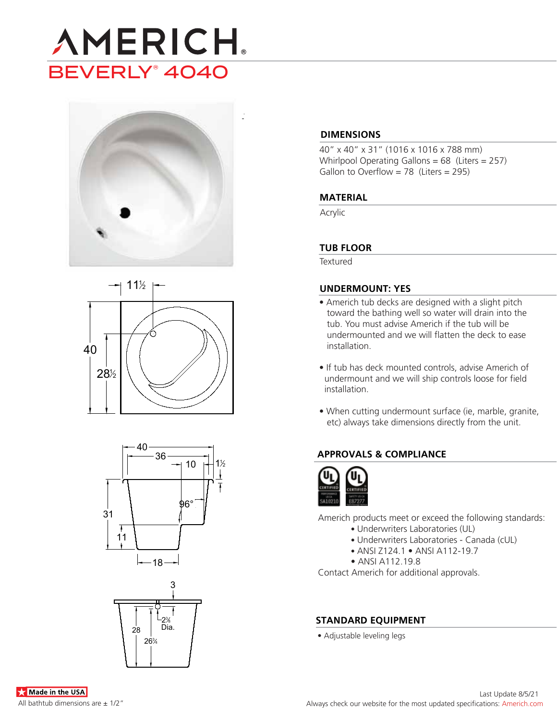









### **DIMENSIONS**

40" x 40" x 31" (1016 x 1016 x 788 mm) Whirlpool Operating Gallons = 68 (Liters = 257) Gallon to Overflow =  $78$  (Liters = 295)

### **MATERIAL**

Acrylic

### **TUB FLOOR**

**Textured** 

### **UNDERMOUNT: YES**

- Americh tub decks are designed with a slight pitch toward the bathing well so water will drain into the tub. You must advise Americh if the tub will be undermounted and we will flatten the deck to ease installation.
- If tub has deck mounted controls, advise Americh of undermount and we will ship controls loose for field installation.
- When cutting undermount surface (ie, marble, granite, etc) always take dimensions directly from the unit.

# **APPROVALS & COMPLIANCE**



Americh products meet or exceed the following standards:

- Underwriters Laboratories (UL)
- Underwriters Laboratories Canada (cUL)
- ANSI Z124.1 ANSI A112-19.7
- ANSI A112.19.8

Contact Americh for additional approvals.

### **STANDARD EQUIPMENT**

• Adjustable leveling legs